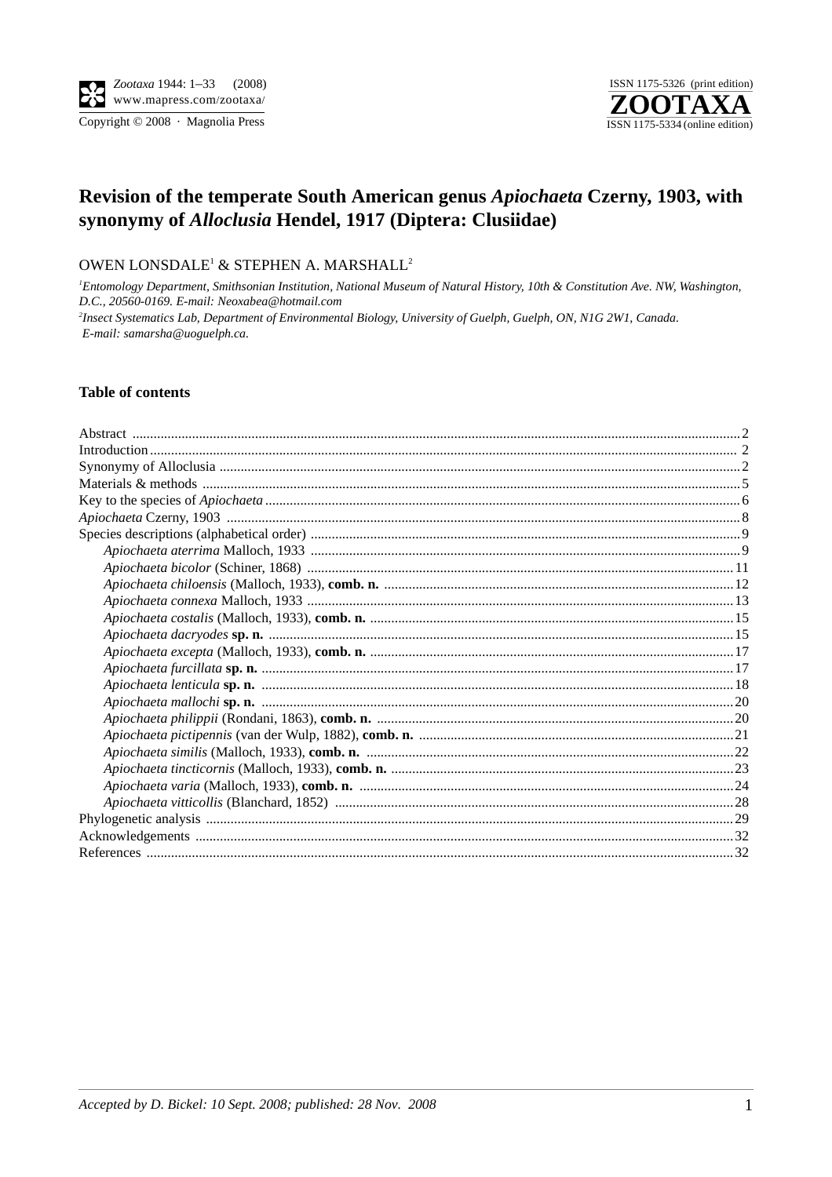Copyright © 2008 · Magnolia Press



# Revision of the temperate South American genus Apiochaeta Czerny, 1903, with synonymy of Alloclusia Hendel, 1917 (Diptera: Clusiidae)

OWEN LONSDALE<sup>1</sup> & STEPHEN A. MARSHALL<sup>2</sup>

<sup>1</sup>Entomology Department, Smithsonian Institution, National Museum of Natural History, 10th & Constitution Ave. NW, Washington, D.C., 20560-0169. E-mail: Neoxabea@hotmail.com

<sup>2</sup>Insect Systematics Lab, Department of Environmental Biology, University of Guelph, Guelph, ON, N1G 2W1, Canada. E-mail: samarsha@uoguelph.ca.

### **Table of contents**